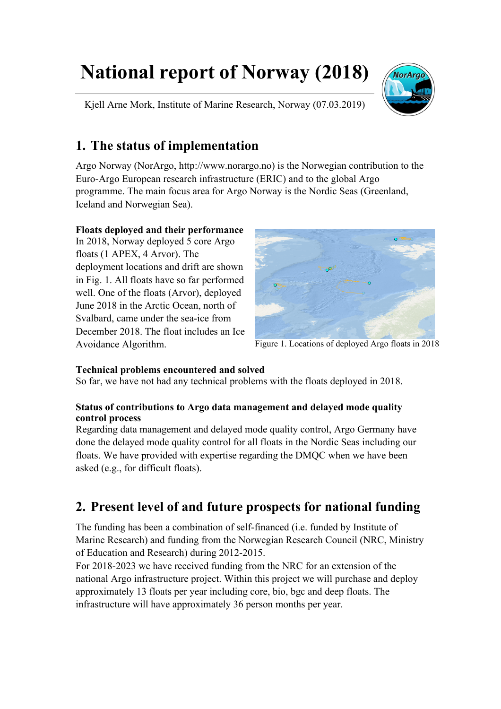# **National report of Norway (2018)**

Kjell Arne Mork, Institute of Marine Research, Norway (07.03.2019)



#### **1. The status of implementation**

Argo Norway (NorArgo, http://www.norargo.no) is the Norwegian contribution to the Euro-Argo European research infrastructure (ERIC) and to the global Argo programme. The main focus area for Argo Norway is the Nordic Seas (Greenland, Iceland and Norwegian Sea).

#### **Floats deployed and their performance**

In 2018, Norway deployed 5 core Argo floats (1 APEX, 4 Arvor). The deployment locations and drift are shown in Fig. 1. All floats have so far performed well. One of the floats (Arvor), deployed June 2018 in the Arctic Ocean, north of Svalbard, came under the sea-ice from December 2018. The float includes an Ice Avoidance Algorithm.



Figure 1. Locations of deployed Argo floats in 2018

#### **Technical problems encountered and solved**

So far, we have not had any technical problems with the floats deployed in 2018.

#### **Status of contributions to Argo data management and delayed mode quality control process**

Regarding data management and delayed mode quality control, Argo Germany have done the delayed mode quality control for all floats in the Nordic Seas including our floats. We have provided with expertise regarding the DMQC when we have been asked (e.g., for difficult floats).

### **2. Present level of and future prospects for national funding**

The funding has been a combination of self-financed (i.e. funded by Institute of Marine Research) and funding from the Norwegian Research Council (NRC, Ministry of Education and Research) during 2012-2015.

For 2018-2023 we have received funding from the NRC for an extension of the national Argo infrastructure project. Within this project we will purchase and deploy approximately 13 floats per year including core, bio, bgc and deep floats. The infrastructure will have approximately 36 person months per year.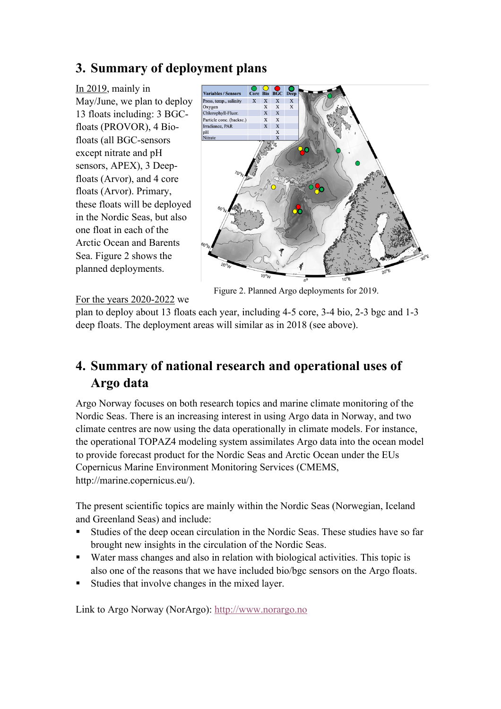### **3. Summary of deployment plans**

In 2019, mainly in May/June, we plan to deploy 13 floats including: 3 BGCfloats (PROVOR), 4 Biofloats (all BGC-sensors except nitrate and pH sensors, APEX), 3 Deepfloats (Arvor), and 4 core floats (Arvor). Primary, these floats will be deployed in the Nordic Seas, but also one float in each of the Arctic Ocean and Barents Sea. Figure 2 shows the planned deployments.



Figure 2. Planned Argo deployments for 2019.

For the years 2020-2022 we

plan to deploy about 13 floats each year, including 4-5 core, 3-4 bio, 2-3 bgc and 1-3 deep floats. The deployment areas will similar as in 2018 (see above).

## **4. Summary of national research and operational uses of Argo data**

Argo Norway focuses on both research topics and marine climate monitoring of the Nordic Seas. There is an increasing interest in using Argo data in Norway, and two climate centres are now using the data operationally in climate models. For instance, the operational TOPAZ4 modeling system assimilates Argo data into the ocean model to provide forecast product for the Nordic Seas and Arctic Ocean under the EUs Copernicus Marine Environment Monitoring Services (CMEMS, http://marine.copernicus.eu/).

The present scientific topics are mainly within the Nordic Seas (Norwegian, Iceland and Greenland Seas) and include:

- § Studies of the deep ocean circulation in the Nordic Seas. These studies have so far brought new insights in the circulation of the Nordic Seas.
- Water mass changes and also in relation with biological activities. This topic is also one of the reasons that we have included bio/bgc sensors on the Argo floats.
- § Studies that involve changes in the mixed layer.

Link to Argo Norway (NorArgo): http://www.norargo.no